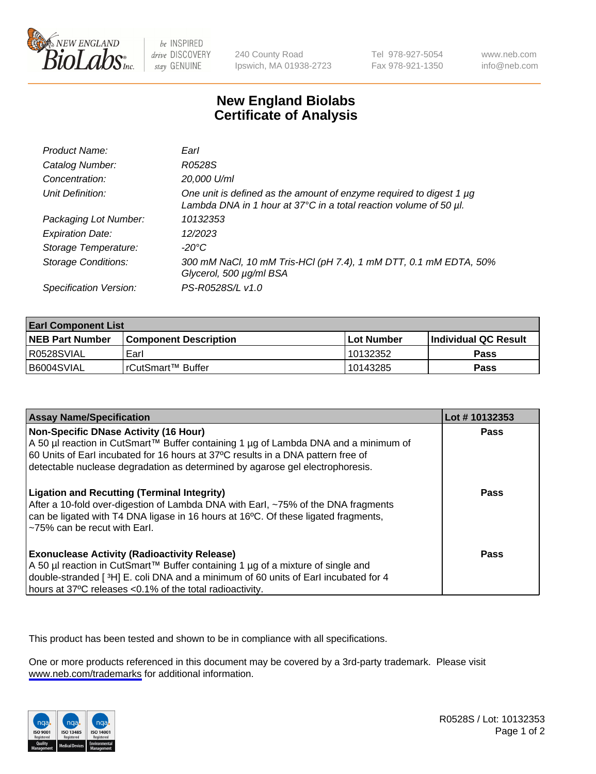

be INSPIRED drive DISCOVERY stay GENUINE

240 County Road Ipswich, MA 01938-2723 Tel 978-927-5054 Fax 978-921-1350

www.neb.com info@neb.com

## **New England Biolabs Certificate of Analysis**

| Product Name:              | Earl                                                                                                                                                    |
|----------------------------|---------------------------------------------------------------------------------------------------------------------------------------------------------|
| Catalog Number:            | R0528S                                                                                                                                                  |
| Concentration:             | 20,000 U/ml                                                                                                                                             |
| Unit Definition:           | One unit is defined as the amount of enzyme required to digest 1 µg<br>Lambda DNA in 1 hour at $37^{\circ}$ C in a total reaction volume of 50 $\mu$ l. |
| Packaging Lot Number:      | 10132353                                                                                                                                                |
| <b>Expiration Date:</b>    | 12/2023                                                                                                                                                 |
| Storage Temperature:       | -20°C                                                                                                                                                   |
| <b>Storage Conditions:</b> | 300 mM NaCl, 10 mM Tris-HCl (pH 7.4), 1 mM DTT, 0.1 mM EDTA, 50%<br>Glycerol, 500 µg/ml BSA                                                             |
| Specification Version:     | PS-R0528S/L v1.0                                                                                                                                        |

| <b>Earl Component List</b> |                         |              |                       |  |
|----------------------------|-------------------------|--------------|-----------------------|--|
| <b>NEB Part Number</b>     | l Component Description | l Lot Number | ∣Individual QC Result |  |
| I R0528SVIAL               | Earl                    | 10132352     | <b>Pass</b>           |  |
| B6004SVIAL                 | l rCutSmart™ Buffer     | 10143285     | Pass                  |  |

| <b>Assay Name/Specification</b>                                                                                                                                                                                                                                                                   | Lot #10132353 |
|---------------------------------------------------------------------------------------------------------------------------------------------------------------------------------------------------------------------------------------------------------------------------------------------------|---------------|
| Non-Specific DNase Activity (16 Hour)<br>A 50 µl reaction in CutSmart™ Buffer containing 1 µg of Lambda DNA and a minimum of<br>60 Units of Earl incubated for 16 hours at 37°C results in a DNA pattern free of<br>detectable nuclease degradation as determined by agarose gel electrophoresis. | <b>Pass</b>   |
| <b>Ligation and Recutting (Terminal Integrity)</b><br>After a 10-fold over-digestion of Lambda DNA with Earl, ~75% of the DNA fragments<br>can be ligated with T4 DNA ligase in 16 hours at 16°C. Of these ligated fragments,<br>~75% can be recut with Earl.                                     | Pass          |
| <b>Exonuclease Activity (Radioactivity Release)</b><br>A 50 µl reaction in CutSmart™ Buffer containing 1 µg of a mixture of single and<br>double-stranded [3H] E. coli DNA and a minimum of 60 units of Earl incubated for 4<br>hours at 37°C releases <0.1% of the total radioactivity.          | Pass          |

This product has been tested and shown to be in compliance with all specifications.

One or more products referenced in this document may be covered by a 3rd-party trademark. Please visit <www.neb.com/trademarks>for additional information.